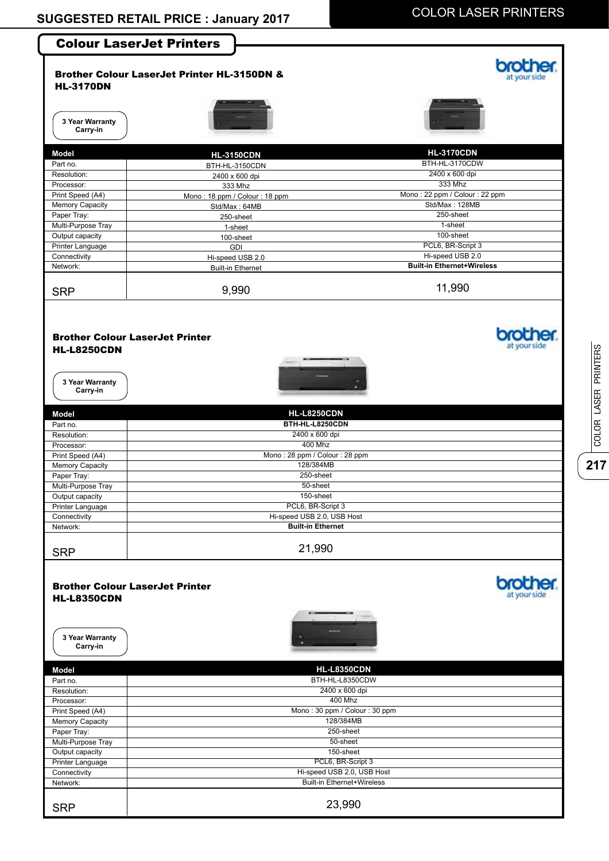

**217**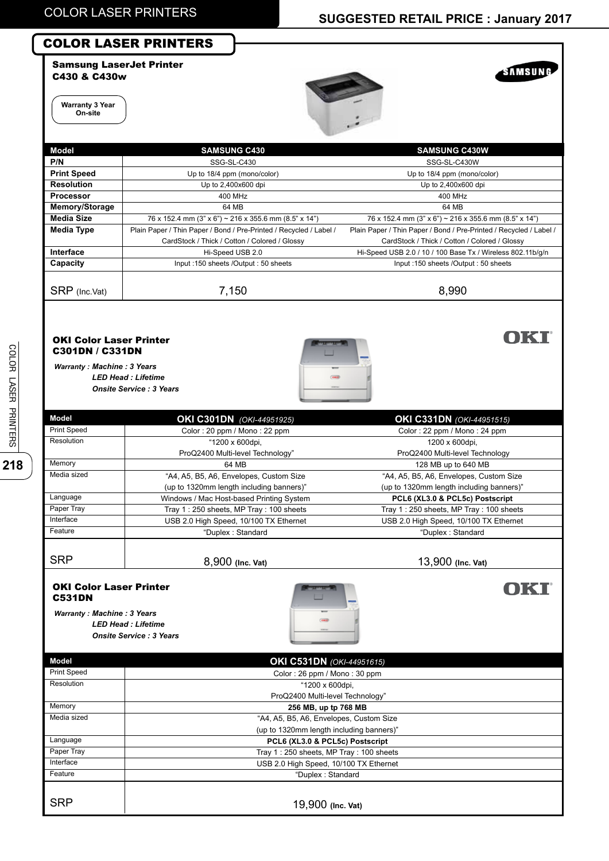SAMSUNG

OKI

**OKI** 

### COLOR LASER PRINTERS



**Warranty 3 Year On-site**



| Model              | <b>SAMSUNG C430</b>                                                | <b>SAMSUNG C430W</b>                                               |
|--------------------|--------------------------------------------------------------------|--------------------------------------------------------------------|
| P/N                | SSG-SL-C430                                                        | SSG-SL-C430W                                                       |
| <b>Print Speed</b> | Up to 18/4 ppm (mono/color)                                        | Up to 18/4 ppm (mono/color)                                        |
| <b>Resolution</b>  | Up to 2,400x600 dpi                                                | Up to 2,400x600 dpi                                                |
| Processor          | 400 MHz                                                            | 400 MHz                                                            |
| Memory/Storage     | 64 MB                                                              | 64 MB                                                              |
| <b>Media Size</b>  | 76 x 152.4 mm (3" x 6") ~ 216 x 355.6 mm (8.5" x 14")              | 76 x 152.4 mm (3" x 6") ~ 216 x 355.6 mm (8.5" x 14")              |
| <b>Media Type</b>  | Plain Paper / Thin Paper / Bond / Pre-Printed / Recycled / Label / | Plain Paper / Thin Paper / Bond / Pre-Printed / Recycled / Label / |
|                    | CardStock / Thick / Cotton / Colored / Glossy                      | CardStock / Thick / Cotton / Colored / Glossy                      |
| Interface          | Hi-Speed USB 2.0                                                   | Hi-Speed USB 2.0 / 10 / 100 Base Tx / Wireless 802.11b/g/n         |
| Capacity           | Input: 150 sheets /Output: 50 sheets                               | Input: 150 sheets /Output: 50 sheets                               |
|                    |                                                                    |                                                                    |
| SRP (Inc.Vat)      | 7,150                                                              | 8,990                                                              |
|                    |                                                                    |                                                                    |

### OKI Color Laser Printer C301DN / C331DN

*Warranty : Machine : 3 Years LED Head : Lifetime Onsite Service : 3 Years*



**Model** Print Speed **Resolution Memory** Media sized **Language** Paper Tray **Interface Feature SRP OKI C301DN** *(OKI-44951925)* Color : 20 ppm / Mono : 22 ppm "1200 x 600dpi, ProQ2400 Multi-level Technology" 64 MB "A4, A5, B5, A6, Envelopes, Custom Size (up to 1320mm length including banners)" Windows / Mac Host-based Printing System Tray 1 : 250 sheets, MP Tray : 100 sheets USB 2.0 High Speed, 10/100 TX Ethernet "Duplex : Standard 8,900 **(Inc. Vat) OKI C331DN** *(OKI-44951515)* Color : 22 ppm / Mono : 24 ppm 1200 x 600dpi, ProQ2400 Multi-level Technology 128 MB up to 640 MB "A4, A5, B5, A6, Envelopes, Custom Size (up to 1320mm length including banners)" **PCL6 (XL3.0 & PCL5c) Postscript** Tray 1 : 250 sheets, MP Tray : 100 sheets USB 2.0 High Speed, 10/100 TX Ethernet "Duplex : Standard 13,900 **(Inc. Vat)**

#### OKI Color Laser Printer C531DN

*Warranty : Machine : 3 Years LED Head : Lifetime Onsite Service : 3 Years*



| Model              | OKI C531DN (OKI-44951615)                |  |
|--------------------|------------------------------------------|--|
| <b>Print Speed</b> | Color: 26 ppm / Mono: 30 ppm             |  |
| Resolution         | "1200 x 600dpi,                          |  |
|                    | ProQ2400 Multi-level Technology"         |  |
| Memory             | 256 MB, up tp 768 MB                     |  |
| Media sized        | "A4, A5, B5, A6, Envelopes, Custom Size  |  |
|                    | (up to 1320mm length including banners)" |  |
| Language           | PCL6 (XL3.0 & PCL5c) Postscript          |  |
| Paper Tray         | Tray 1:250 sheets, MP Tray: 100 sheets   |  |
| Interface          | USB 2.0 High Speed, 10/100 TX Ethernet   |  |
| Feature            | "Duplex: Standard                        |  |
|                    |                                          |  |
| <b>SRP</b>         | 19,900 (Inc. Vat)                        |  |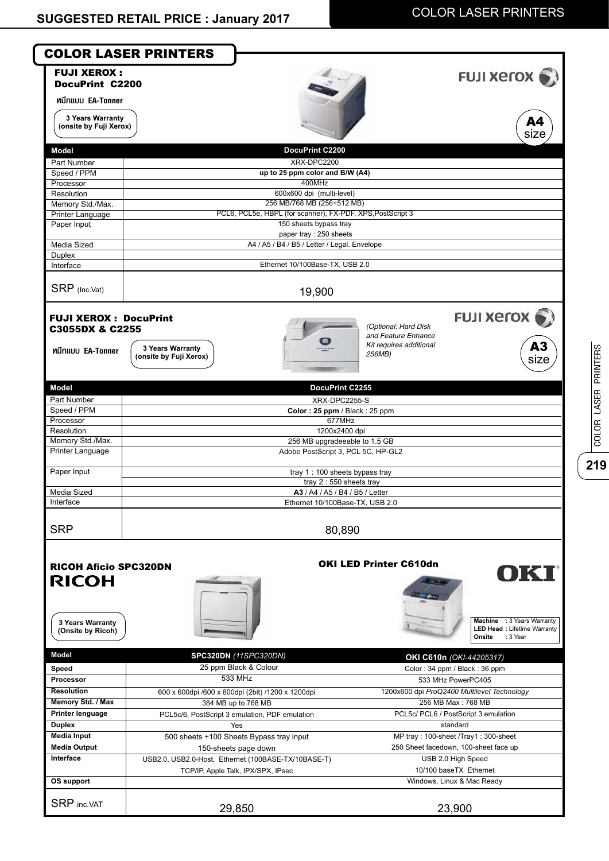**219**

COLOR LASER PRINTERS

COLOR LASER PRINTERS

| 3 Years Warranty<br>(onsite by Fuji Xerox)<br>DocuPrint C2200<br><b>Model</b><br>XRX-DPC2200<br>Part Number<br>up to 25 ppm color and B/W (A4)<br>Speed / PPM<br>400MHz<br>Processor<br>600x600 dpi (multi-level)<br>Resolution<br>256 MB/768 MB (256+512 MB)<br>Memory Std./Max.<br>PCL6, PCL5e, HBPL (for scanner), FX-PDF, XPS, PostScript 3<br>Printer Language<br>150 sheets bypass tray<br>Paper Input<br>paper tray : 250 sheets<br>A4 / A5 / B4 / B5 / Letter / Legal. Envelope<br>Media Sized<br>Duplex<br>Ethernet 10/100Base-TX, USB 2.0<br>Interface<br>SRP (Inc.Vat)<br>19,900<br><b>FUJI XEROX: DocuPrint</b><br>(Optional: Hard Disk<br>C3055DX & C2255<br>and Feature Enhance<br>Kit requires additional<br>3 Years Warranty<br>หมึกแบบ EA-Tonner<br>256MB)<br>(onsite by Fuji Xerox)<br>Model<br>DocuPrint C2255<br>Part Number<br>XRX-DPC2255-S<br>Speed / PPM<br>Color: 25 ppm / Black: 25 ppm<br>Processor<br>677MHz<br>Resolution<br>1200x2400 dpi<br>Memory Std./Max.<br>256 MB upgradeeable to 1.5 GB<br><b>Printer Language</b><br>Adobe PostScript 3, PCL 5C, HP-GL2<br>Paper Input<br>tray 1 : 100 sheets bypass tray<br>tray $2:550$ sheets tray<br>Media Sized<br>A3 / A4 / A5 / B4 / B5 / Letter<br>Interface<br>Ethernet 10/100Base-TX, USB 2.0<br><b>SRP</b><br>80,890<br><b>OKI LED Printer C610dn</b><br><b>RICOH Aficio SPC320DN</b><br><b>RICOH</b><br>3 Years Warranty<br>(Onsite by Ricoh)<br>Onsite<br>: 3 Year<br><b>Model</b><br>SPC320DN (11SPC320DN)<br>OKI C610n (OKI-44205317)<br>25 ppm Black & Colour<br>Speed<br>Color: 34 ppm / Black: 36 ppm<br>533 MHz<br>Processor<br>533 MHz PowerPC405<br><b>Resolution</b><br>1200x600 dpi ProQ2400 Multilevel Technology<br>600 x 600dpi /600 x 600dpi (2bit) /1200 x 1200dpi<br>Memory Std. / Max<br>256 MB Max: 768 MB<br>384 MB up to 768 MB<br><b>Printer lenguage</b><br>PCL5c/ PCL6 / PostScript 3 emulation<br>PCL5c/6, PostScript 3 emulation, PDF emulation<br><b>Duplex</b><br>standard<br>Yes<br><b>Media Input</b><br>MP tray: 100-sheet /Tray1: 300-sheet<br>500 sheets +100 Sheets Bypass tray input<br><b>Media Output</b><br>250 Sheet facedown, 100-sheet face up<br>150-sheets page down<br>Interface<br>USB 2.0 High Speed<br>USB2.0, USB2.0-Host, Ethernet (100BASE-TX/10BASE-T)<br>10/100 baseTX Ethernet<br>TCP/IP, Apple Talk, IPX/SPX, IPsec<br>OS support<br>Windows, Linux & Mac Ready | <b>FUJI XEROX:</b><br><b>DocuPrint C2200</b><br>หมึกแบบ EA-Tonner | <b>FUJI Xerox</b>                                                       |
|---------------------------------------------------------------------------------------------------------------------------------------------------------------------------------------------------------------------------------------------------------------------------------------------------------------------------------------------------------------------------------------------------------------------------------------------------------------------------------------------------------------------------------------------------------------------------------------------------------------------------------------------------------------------------------------------------------------------------------------------------------------------------------------------------------------------------------------------------------------------------------------------------------------------------------------------------------------------------------------------------------------------------------------------------------------------------------------------------------------------------------------------------------------------------------------------------------------------------------------------------------------------------------------------------------------------------------------------------------------------------------------------------------------------------------------------------------------------------------------------------------------------------------------------------------------------------------------------------------------------------------------------------------------------------------------------------------------------------------------------------------------------------------------------------------------------------------------------------------------------------------------------------------------------------------------------------------------------------------------------------------------------------------------------------------------------------------------------------------------------------------------------------------------------------------------------------------------------------------------------------------------------------------------------------------------------------------------------------------------------------------------------------------|-------------------------------------------------------------------|-------------------------------------------------------------------------|
|                                                                                                                                                                                                                                                                                                                                                                                                                                                                                                                                                                                                                                                                                                                                                                                                                                                                                                                                                                                                                                                                                                                                                                                                                                                                                                                                                                                                                                                                                                                                                                                                                                                                                                                                                                                                                                                                                                                                                                                                                                                                                                                                                                                                                                                                                                                                                                                                         |                                                                   | A4<br>size                                                              |
|                                                                                                                                                                                                                                                                                                                                                                                                                                                                                                                                                                                                                                                                                                                                                                                                                                                                                                                                                                                                                                                                                                                                                                                                                                                                                                                                                                                                                                                                                                                                                                                                                                                                                                                                                                                                                                                                                                                                                                                                                                                                                                                                                                                                                                                                                                                                                                                                         |                                                                   |                                                                         |
|                                                                                                                                                                                                                                                                                                                                                                                                                                                                                                                                                                                                                                                                                                                                                                                                                                                                                                                                                                                                                                                                                                                                                                                                                                                                                                                                                                                                                                                                                                                                                                                                                                                                                                                                                                                                                                                                                                                                                                                                                                                                                                                                                                                                                                                                                                                                                                                                         |                                                                   |                                                                         |
|                                                                                                                                                                                                                                                                                                                                                                                                                                                                                                                                                                                                                                                                                                                                                                                                                                                                                                                                                                                                                                                                                                                                                                                                                                                                                                                                                                                                                                                                                                                                                                                                                                                                                                                                                                                                                                                                                                                                                                                                                                                                                                                                                                                                                                                                                                                                                                                                         |                                                                   |                                                                         |
|                                                                                                                                                                                                                                                                                                                                                                                                                                                                                                                                                                                                                                                                                                                                                                                                                                                                                                                                                                                                                                                                                                                                                                                                                                                                                                                                                                                                                                                                                                                                                                                                                                                                                                                                                                                                                                                                                                                                                                                                                                                                                                                                                                                                                                                                                                                                                                                                         |                                                                   |                                                                         |
|                                                                                                                                                                                                                                                                                                                                                                                                                                                                                                                                                                                                                                                                                                                                                                                                                                                                                                                                                                                                                                                                                                                                                                                                                                                                                                                                                                                                                                                                                                                                                                                                                                                                                                                                                                                                                                                                                                                                                                                                                                                                                                                                                                                                                                                                                                                                                                                                         |                                                                   |                                                                         |
|                                                                                                                                                                                                                                                                                                                                                                                                                                                                                                                                                                                                                                                                                                                                                                                                                                                                                                                                                                                                                                                                                                                                                                                                                                                                                                                                                                                                                                                                                                                                                                                                                                                                                                                                                                                                                                                                                                                                                                                                                                                                                                                                                                                                                                                                                                                                                                                                         |                                                                   |                                                                         |
|                                                                                                                                                                                                                                                                                                                                                                                                                                                                                                                                                                                                                                                                                                                                                                                                                                                                                                                                                                                                                                                                                                                                                                                                                                                                                                                                                                                                                                                                                                                                                                                                                                                                                                                                                                                                                                                                                                                                                                                                                                                                                                                                                                                                                                                                                                                                                                                                         |                                                                   |                                                                         |
|                                                                                                                                                                                                                                                                                                                                                                                                                                                                                                                                                                                                                                                                                                                                                                                                                                                                                                                                                                                                                                                                                                                                                                                                                                                                                                                                                                                                                                                                                                                                                                                                                                                                                                                                                                                                                                                                                                                                                                                                                                                                                                                                                                                                                                                                                                                                                                                                         |                                                                   |                                                                         |
|                                                                                                                                                                                                                                                                                                                                                                                                                                                                                                                                                                                                                                                                                                                                                                                                                                                                                                                                                                                                                                                                                                                                                                                                                                                                                                                                                                                                                                                                                                                                                                                                                                                                                                                                                                                                                                                                                                                                                                                                                                                                                                                                                                                                                                                                                                                                                                                                         |                                                                   |                                                                         |
|                                                                                                                                                                                                                                                                                                                                                                                                                                                                                                                                                                                                                                                                                                                                                                                                                                                                                                                                                                                                                                                                                                                                                                                                                                                                                                                                                                                                                                                                                                                                                                                                                                                                                                                                                                                                                                                                                                                                                                                                                                                                                                                                                                                                                                                                                                                                                                                                         |                                                                   |                                                                         |
|                                                                                                                                                                                                                                                                                                                                                                                                                                                                                                                                                                                                                                                                                                                                                                                                                                                                                                                                                                                                                                                                                                                                                                                                                                                                                                                                                                                                                                                                                                                                                                                                                                                                                                                                                                                                                                                                                                                                                                                                                                                                                                                                                                                                                                                                                                                                                                                                         |                                                                   |                                                                         |
|                                                                                                                                                                                                                                                                                                                                                                                                                                                                                                                                                                                                                                                                                                                                                                                                                                                                                                                                                                                                                                                                                                                                                                                                                                                                                                                                                                                                                                                                                                                                                                                                                                                                                                                                                                                                                                                                                                                                                                                                                                                                                                                                                                                                                                                                                                                                                                                                         |                                                                   |                                                                         |
|                                                                                                                                                                                                                                                                                                                                                                                                                                                                                                                                                                                                                                                                                                                                                                                                                                                                                                                                                                                                                                                                                                                                                                                                                                                                                                                                                                                                                                                                                                                                                                                                                                                                                                                                                                                                                                                                                                                                                                                                                                                                                                                                                                                                                                                                                                                                                                                                         |                                                                   | FUJI Xerox .<br>A3<br>size                                              |
|                                                                                                                                                                                                                                                                                                                                                                                                                                                                                                                                                                                                                                                                                                                                                                                                                                                                                                                                                                                                                                                                                                                                                                                                                                                                                                                                                                                                                                                                                                                                                                                                                                                                                                                                                                                                                                                                                                                                                                                                                                                                                                                                                                                                                                                                                                                                                                                                         |                                                                   |                                                                         |
|                                                                                                                                                                                                                                                                                                                                                                                                                                                                                                                                                                                                                                                                                                                                                                                                                                                                                                                                                                                                                                                                                                                                                                                                                                                                                                                                                                                                                                                                                                                                                                                                                                                                                                                                                                                                                                                                                                                                                                                                                                                                                                                                                                                                                                                                                                                                                                                                         |                                                                   |                                                                         |
|                                                                                                                                                                                                                                                                                                                                                                                                                                                                                                                                                                                                                                                                                                                                                                                                                                                                                                                                                                                                                                                                                                                                                                                                                                                                                                                                                                                                                                                                                                                                                                                                                                                                                                                                                                                                                                                                                                                                                                                                                                                                                                                                                                                                                                                                                                                                                                                                         |                                                                   |                                                                         |
|                                                                                                                                                                                                                                                                                                                                                                                                                                                                                                                                                                                                                                                                                                                                                                                                                                                                                                                                                                                                                                                                                                                                                                                                                                                                                                                                                                                                                                                                                                                                                                                                                                                                                                                                                                                                                                                                                                                                                                                                                                                                                                                                                                                                                                                                                                                                                                                                         |                                                                   |                                                                         |
|                                                                                                                                                                                                                                                                                                                                                                                                                                                                                                                                                                                                                                                                                                                                                                                                                                                                                                                                                                                                                                                                                                                                                                                                                                                                                                                                                                                                                                                                                                                                                                                                                                                                                                                                                                                                                                                                                                                                                                                                                                                                                                                                                                                                                                                                                                                                                                                                         |                                                                   |                                                                         |
|                                                                                                                                                                                                                                                                                                                                                                                                                                                                                                                                                                                                                                                                                                                                                                                                                                                                                                                                                                                                                                                                                                                                                                                                                                                                                                                                                                                                                                                                                                                                                                                                                                                                                                                                                                                                                                                                                                                                                                                                                                                                                                                                                                                                                                                                                                                                                                                                         |                                                                   |                                                                         |
|                                                                                                                                                                                                                                                                                                                                                                                                                                                                                                                                                                                                                                                                                                                                                                                                                                                                                                                                                                                                                                                                                                                                                                                                                                                                                                                                                                                                                                                                                                                                                                                                                                                                                                                                                                                                                                                                                                                                                                                                                                                                                                                                                                                                                                                                                                                                                                                                         |                                                                   |                                                                         |
|                                                                                                                                                                                                                                                                                                                                                                                                                                                                                                                                                                                                                                                                                                                                                                                                                                                                                                                                                                                                                                                                                                                                                                                                                                                                                                                                                                                                                                                                                                                                                                                                                                                                                                                                                                                                                                                                                                                                                                                                                                                                                                                                                                                                                                                                                                                                                                                                         |                                                                   |                                                                         |
|                                                                                                                                                                                                                                                                                                                                                                                                                                                                                                                                                                                                                                                                                                                                                                                                                                                                                                                                                                                                                                                                                                                                                                                                                                                                                                                                                                                                                                                                                                                                                                                                                                                                                                                                                                                                                                                                                                                                                                                                                                                                                                                                                                                                                                                                                                                                                                                                         |                                                                   |                                                                         |
|                                                                                                                                                                                                                                                                                                                                                                                                                                                                                                                                                                                                                                                                                                                                                                                                                                                                                                                                                                                                                                                                                                                                                                                                                                                                                                                                                                                                                                                                                                                                                                                                                                                                                                                                                                                                                                                                                                                                                                                                                                                                                                                                                                                                                                                                                                                                                                                                         |                                                                   |                                                                         |
|                                                                                                                                                                                                                                                                                                                                                                                                                                                                                                                                                                                                                                                                                                                                                                                                                                                                                                                                                                                                                                                                                                                                                                                                                                                                                                                                                                                                                                                                                                                                                                                                                                                                                                                                                                                                                                                                                                                                                                                                                                                                                                                                                                                                                                                                                                                                                                                                         |                                                                   |                                                                         |
|                                                                                                                                                                                                                                                                                                                                                                                                                                                                                                                                                                                                                                                                                                                                                                                                                                                                                                                                                                                                                                                                                                                                                                                                                                                                                                                                                                                                                                                                                                                                                                                                                                                                                                                                                                                                                                                                                                                                                                                                                                                                                                                                                                                                                                                                                                                                                                                                         |                                                                   |                                                                         |
|                                                                                                                                                                                                                                                                                                                                                                                                                                                                                                                                                                                                                                                                                                                                                                                                                                                                                                                                                                                                                                                                                                                                                                                                                                                                                                                                                                                                                                                                                                                                                                                                                                                                                                                                                                                                                                                                                                                                                                                                                                                                                                                                                                                                                                                                                                                                                                                                         |                                                                   | OKT<br>Machine : 3 Years Warranty<br><b>LED Head: Lifetime Warranty</b> |
|                                                                                                                                                                                                                                                                                                                                                                                                                                                                                                                                                                                                                                                                                                                                                                                                                                                                                                                                                                                                                                                                                                                                                                                                                                                                                                                                                                                                                                                                                                                                                                                                                                                                                                                                                                                                                                                                                                                                                                                                                                                                                                                                                                                                                                                                                                                                                                                                         |                                                                   |                                                                         |
|                                                                                                                                                                                                                                                                                                                                                                                                                                                                                                                                                                                                                                                                                                                                                                                                                                                                                                                                                                                                                                                                                                                                                                                                                                                                                                                                                                                                                                                                                                                                                                                                                                                                                                                                                                                                                                                                                                                                                                                                                                                                                                                                                                                                                                                                                                                                                                                                         |                                                                   |                                                                         |
|                                                                                                                                                                                                                                                                                                                                                                                                                                                                                                                                                                                                                                                                                                                                                                                                                                                                                                                                                                                                                                                                                                                                                                                                                                                                                                                                                                                                                                                                                                                                                                                                                                                                                                                                                                                                                                                                                                                                                                                                                                                                                                                                                                                                                                                                                                                                                                                                         |                                                                   |                                                                         |
|                                                                                                                                                                                                                                                                                                                                                                                                                                                                                                                                                                                                                                                                                                                                                                                                                                                                                                                                                                                                                                                                                                                                                                                                                                                                                                                                                                                                                                                                                                                                                                                                                                                                                                                                                                                                                                                                                                                                                                                                                                                                                                                                                                                                                                                                                                                                                                                                         |                                                                   |                                                                         |
|                                                                                                                                                                                                                                                                                                                                                                                                                                                                                                                                                                                                                                                                                                                                                                                                                                                                                                                                                                                                                                                                                                                                                                                                                                                                                                                                                                                                                                                                                                                                                                                                                                                                                                                                                                                                                                                                                                                                                                                                                                                                                                                                                                                                                                                                                                                                                                                                         |                                                                   |                                                                         |
|                                                                                                                                                                                                                                                                                                                                                                                                                                                                                                                                                                                                                                                                                                                                                                                                                                                                                                                                                                                                                                                                                                                                                                                                                                                                                                                                                                                                                                                                                                                                                                                                                                                                                                                                                                                                                                                                                                                                                                                                                                                                                                                                                                                                                                                                                                                                                                                                         |                                                                   |                                                                         |
|                                                                                                                                                                                                                                                                                                                                                                                                                                                                                                                                                                                                                                                                                                                                                                                                                                                                                                                                                                                                                                                                                                                                                                                                                                                                                                                                                                                                                                                                                                                                                                                                                                                                                                                                                                                                                                                                                                                                                                                                                                                                                                                                                                                                                                                                                                                                                                                                         |                                                                   |                                                                         |
|                                                                                                                                                                                                                                                                                                                                                                                                                                                                                                                                                                                                                                                                                                                                                                                                                                                                                                                                                                                                                                                                                                                                                                                                                                                                                                                                                                                                                                                                                                                                                                                                                                                                                                                                                                                                                                                                                                                                                                                                                                                                                                                                                                                                                                                                                                                                                                                                         |                                                                   |                                                                         |
|                                                                                                                                                                                                                                                                                                                                                                                                                                                                                                                                                                                                                                                                                                                                                                                                                                                                                                                                                                                                                                                                                                                                                                                                                                                                                                                                                                                                                                                                                                                                                                                                                                                                                                                                                                                                                                                                                                                                                                                                                                                                                                                                                                                                                                                                                                                                                                                                         |                                                                   |                                                                         |
|                                                                                                                                                                                                                                                                                                                                                                                                                                                                                                                                                                                                                                                                                                                                                                                                                                                                                                                                                                                                                                                                                                                                                                                                                                                                                                                                                                                                                                                                                                                                                                                                                                                                                                                                                                                                                                                                                                                                                                                                                                                                                                                                                                                                                                                                                                                                                                                                         |                                                                   |                                                                         |
|                                                                                                                                                                                                                                                                                                                                                                                                                                                                                                                                                                                                                                                                                                                                                                                                                                                                                                                                                                                                                                                                                                                                                                                                                                                                                                                                                                                                                                                                                                                                                                                                                                                                                                                                                                                                                                                                                                                                                                                                                                                                                                                                                                                                                                                                                                                                                                                                         |                                                                   |                                                                         |
|                                                                                                                                                                                                                                                                                                                                                                                                                                                                                                                                                                                                                                                                                                                                                                                                                                                                                                                                                                                                                                                                                                                                                                                                                                                                                                                                                                                                                                                                                                                                                                                                                                                                                                                                                                                                                                                                                                                                                                                                                                                                                                                                                                                                                                                                                                                                                                                                         |                                                                   |                                                                         |
| <b>SRP</b> inc.VAT<br>29,850                                                                                                                                                                                                                                                                                                                                                                                                                                                                                                                                                                                                                                                                                                                                                                                                                                                                                                                                                                                                                                                                                                                                                                                                                                                                                                                                                                                                                                                                                                                                                                                                                                                                                                                                                                                                                                                                                                                                                                                                                                                                                                                                                                                                                                                                                                                                                                            |                                                                   |                                                                         |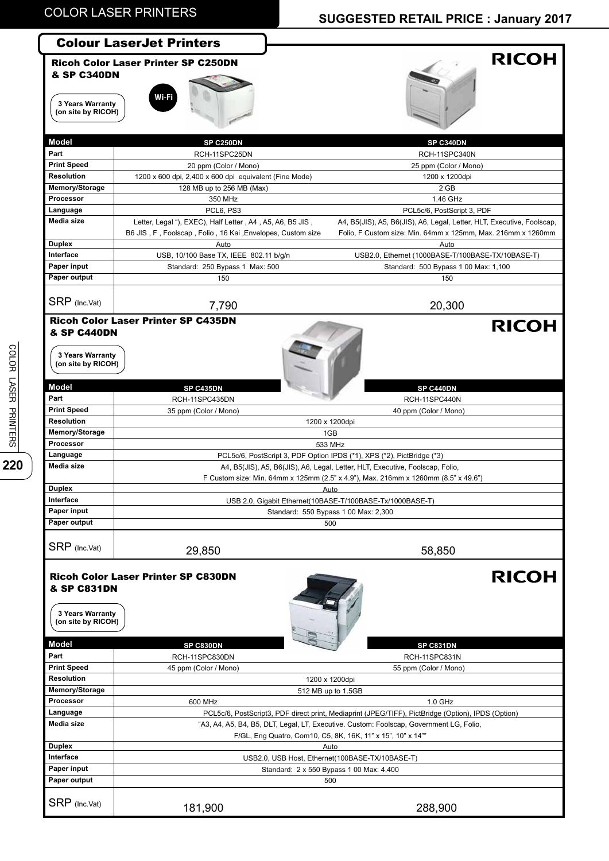## **SUGGESTED RETAIL PRICE : January 2017**

|                                                                  | <b>Colour LaserJet Printers</b>                            |                                                                                                                                                                     |
|------------------------------------------------------------------|------------------------------------------------------------|---------------------------------------------------------------------------------------------------------------------------------------------------------------------|
| <b>&amp; SP C340DN</b><br>3 Years Warranty<br>(on site by RICOH) | <b>Ricoh Color Laser Printer SP C250DN</b><br>Wi-Fi        | <b>RICOH</b>                                                                                                                                                        |
| <b>Model</b>                                                     | SP C250DN                                                  | SP C340DN                                                                                                                                                           |
| Part                                                             | RCH-11SPC25DN                                              | RCH-11SPC340N                                                                                                                                                       |
| <b>Print Speed</b>                                               | 20 ppm (Color / Mono)                                      | 25 ppm (Color / Mono)                                                                                                                                               |
| Resolution                                                       | 1200 x 600 dpi, 2,400 x 600 dpi equivalent (Fine Mode)     | 1200 x 1200dpi                                                                                                                                                      |
| Memory/Storage                                                   | 128 MB up to 256 MB (Max)                                  | 2 GB                                                                                                                                                                |
| Processor                                                        | 350 MHz                                                    | 1.46 GHz                                                                                                                                                            |
| Language                                                         | PCL6, PS3                                                  | PCL5c/6, PostScript 3, PDF                                                                                                                                          |
| Media size                                                       | Letter, Legal "), EXEC), Half Letter, A4, A5, A6, B5 JIS,  | A4, B5(JIS), A5, B6(JIS), A6, Legal, Letter, HLT, Executive, Foolscap,                                                                                              |
|                                                                  | B6 JIS, F, Foolscap, Folio, 16 Kai, Envelopes, Custom size | Folio, F Custom size: Min. 64mm x 125mm, Max. 216mm x 1260mm                                                                                                        |
| <b>Duplex</b>                                                    | Auto                                                       | Auto                                                                                                                                                                |
| Interface                                                        | USB, 10/100 Base TX, IEEE 802.11 b/g/n                     | USB2.0, Ethernet (1000BASE-T/100BASE-TX/10BASE-T)                                                                                                                   |
| Paper input                                                      | Standard: 250 Bypass 1 Max: 500                            | Standard: 500 Bypass 1 00 Max: 1,100                                                                                                                                |
| Paper output                                                     | 150                                                        | 150                                                                                                                                                                 |
| SRP (Inc.Vat)                                                    | 7,790                                                      | 20,300                                                                                                                                                              |
| <b>&amp; SP C440DN</b><br>3 Years Warranty<br>(on site by RICOH) | <b>Ricoh Color Laser Printer SP C435DN</b>                 | <b>RICOH</b>                                                                                                                                                        |
| <b>Model</b>                                                     | SP C435DN                                                  | SP C440DN                                                                                                                                                           |
| Part                                                             | RCH-11SPC435DN                                             | RCH-11SPC440N                                                                                                                                                       |
| <b>Print Speed</b>                                               | 35 ppm (Color / Mono)                                      | 40 ppm (Color / Mono)                                                                                                                                               |
| <b>Resolution</b>                                                |                                                            | 1200 x 1200dpi                                                                                                                                                      |
| Memory/Storage                                                   |                                                            | 1GB                                                                                                                                                                 |
| Processor                                                        |                                                            | 533 MHz                                                                                                                                                             |
| Language                                                         |                                                            | PCL5c/6, PostScript 3, PDF Option IPDS (*1), XPS (*2), PictBridge (*3)                                                                                              |
| Media size                                                       |                                                            | A4, B5(JIS), A5, B6(JIS), A6, Legal, Letter, HLT, Executive, Foolscap, Folio,<br>F Custom size: Min. 64mm x 125mm (2.5" x 4.9"), Max. 216mm x 1260mm (8.5" x 49.6") |
| <b>Duplex</b>                                                    |                                                            | <u>Auto</u>                                                                                                                                                         |
| Interface                                                        |                                                            | USB 2.0, Gigabit Ethernet(10BASE-T/100BASE-Tx/1000BASE-T)                                                                                                           |
| Paper input                                                      |                                                            | Standard: 550 Bypass 1 00 Max: 2,300                                                                                                                                |
| Paper output                                                     |                                                            | 500                                                                                                                                                                 |
| SRP (Inc.Vat)                                                    | 29,850                                                     | 58,850                                                                                                                                                              |
| <b>&amp; SP C831DN</b><br>3 Years Warranty<br>(on site by RICOH) | <b>Ricoh Color Laser Printer SP C830DN</b>                 | <b>RICOH</b>                                                                                                                                                        |
| <b>Model</b>                                                     | SP C830DN                                                  | SP C831DN                                                                                                                                                           |
| Part                                                             | RCH-11SPC830DN                                             | RCH-11SPC831N                                                                                                                                                       |
| <b>Print Speed</b><br><b>Resolution</b>                          | 45 ppm (Color / Mono)                                      | 55 ppm (Color / Mono)                                                                                                                                               |
| Memory/Storage                                                   |                                                            | 1200 x 1200dpi                                                                                                                                                      |
| Processor                                                        |                                                            | 512 MB up to 1.5GB                                                                                                                                                  |
| Language                                                         | 600 MHz                                                    | $1.0$ GHz<br>PCL5c/6, PostScript3, PDF direct print, Mediaprint (JPEG/TIFF), PictBridge (Option), IPDS (Option)                                                     |
| Media size                                                       |                                                            | "A3, A4, A5, B4, B5, DLT, Legal, LT, Executive. Custom: Foolscap, Government LG, Folio,<br>F/GL, Eng Quatro, Com10, C5, 8K, 16K, 11" x 15", 10" x 14""              |
| <b>Duplex</b>                                                    |                                                            | Auto                                                                                                                                                                |
| Interface                                                        |                                                            | USB2.0, USB Host, Ethernet(100BASE-TX/10BASE-T)                                                                                                                     |
| Paper input                                                      |                                                            | Standard: 2 x 550 Bypass 1 00 Max: 4,400                                                                                                                            |
| Paper output                                                     |                                                            | 500                                                                                                                                                                 |
| SRP (Inc.Vat)                                                    | 181,900                                                    | 288,900                                                                                                                                                             |
|                                                                  |                                                            |                                                                                                                                                                     |

COLOR LASER PRINTERS **220**<br>COLOR LASER PRINTERS 220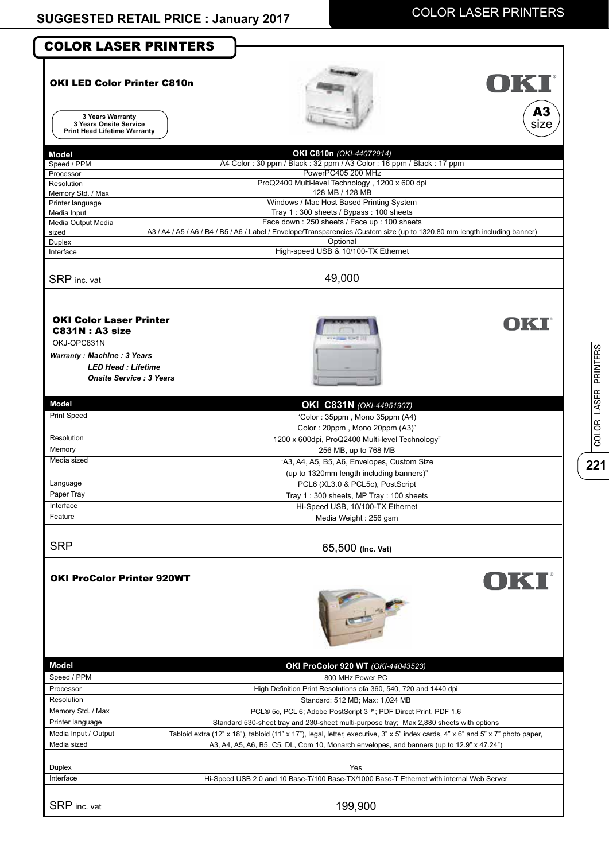$\frac{1}{221}$ 

COLOR LASER PRINTERS

COLOR LASER PRINTERS

| <b>COLOR LASER PRINTERS</b>         |                                                                                                                                                                           |
|-------------------------------------|---------------------------------------------------------------------------------------------------------------------------------------------------------------------------|
|                                     |                                                                                                                                                                           |
| <b>OKI LED Color Printer C810n</b>  | UKI                                                                                                                                                                       |
|                                     |                                                                                                                                                                           |
| 3 Years Warranty                    | A3                                                                                                                                                                        |
| 3 Years Onsite Service              | size                                                                                                                                                                      |
| <b>Print Head Lifetime Warranty</b> |                                                                                                                                                                           |
| <b>Model</b>                        | OKI C810n (OKI-44072914)                                                                                                                                                  |
| Speed / PPM                         | A4 Color: 30 ppm / Black: 32 ppm / A3 Color: 16 ppm / Black: 17 ppm                                                                                                       |
| Processor                           | PowerPC405 200 MHz                                                                                                                                                        |
| Resolution<br>Memory Std. / Max     | ProQ2400 Multi-level Technology, 1200 x 600 dpi<br>128 MB / 128 MB                                                                                                        |
| Printer language                    | Windows / Mac Host Based Printing System                                                                                                                                  |
| Media Input                         | Tray 1:300 sheets / Bypass: 100 sheets                                                                                                                                    |
| Media Output Media<br>sized         | Face down: 250 sheets / Face up: 100 sheets<br>A3 / A4 / A5 / A6 / B4 / B5 / A6 / Label / Envelope/Transparencies /Custom size (up to 1320.80 mm length including banner) |
| Duplex                              | Optional                                                                                                                                                                  |
| Interface                           | High-speed USB & 10/100-TX Ethernet                                                                                                                                       |
|                                     |                                                                                                                                                                           |
| SRP inc. vat                        | 49,000                                                                                                                                                                    |
|                                     |                                                                                                                                                                           |
| <b>OKI Color Laser Printer</b>      | OKI                                                                                                                                                                       |
| <b>C831N: A3 size</b>               |                                                                                                                                                                           |
| OKJ-OPC831N                         |                                                                                                                                                                           |
| <b>Warranty: Machine: 3 Years</b>   |                                                                                                                                                                           |
| <b>LED Head: Lifetime</b>           |                                                                                                                                                                           |
| <b>Onsite Service: 3 Years</b>      |                                                                                                                                                                           |
| <b>Model</b>                        | OKI C831N (OKI-44951907)                                                                                                                                                  |
| Print Speed                         | "Color: 35ppm, Mono 35ppm (A4)                                                                                                                                            |
|                                     | Color: 20ppm, Mono 20ppm (A3)"                                                                                                                                            |
| Resolution                          | 1200 x 600dpi, ProQ2400 Multi-level Technology"                                                                                                                           |
| Memory                              | 256 MB, up to 768 MB                                                                                                                                                      |
| Media sized                         | "A3, A4, A5, B5, A6, Envelopes, Custom Size                                                                                                                               |
| Language                            | (up to 1320mm length including banners)"<br>PCL6 (XL3.0 & PCL5c), PostScript                                                                                              |
| Paper Tray                          | Tray 1:300 sheets, MP Tray: 100 sheets                                                                                                                                    |
| Interface                           | Hi-Speed USB, 10/100-TX Ethernet                                                                                                                                          |
| Feature                             | Media Weight: 256 gsm                                                                                                                                                     |
|                                     |                                                                                                                                                                           |
| <b>SRP</b>                          | 65,500 (Inc. Vat)                                                                                                                                                         |
|                                     |                                                                                                                                                                           |
| <b>OKI ProColor Printer 920WT</b>   | OKT                                                                                                                                                                       |
|                                     |                                                                                                                                                                           |
|                                     | <b>Comba</b>                                                                                                                                                              |
|                                     |                                                                                                                                                                           |
|                                     |                                                                                                                                                                           |
|                                     |                                                                                                                                                                           |
| Model                               | OKI ProColor 920 WT (OKI-44043523)                                                                                                                                        |
| Speed / PPM                         | 800 MHz Power PC                                                                                                                                                          |
| Processor<br>Resolution             | High Definition Print Resolutions ofa 360, 540, 720 and 1440 dpi<br>Standard: 512 MB; Max: 1,024 MB                                                                       |
| Memory Std. / Max                   | PCL® 5c, PCL 6; Adobe PostScript 3™; PDF Direct Print, PDF 1.6                                                                                                            |
| Printer language                    | Standard 530-sheet tray and 230-sheet multi-purpose tray; Max 2,880 sheets with options                                                                                   |
| Media Input / Output                | Tabloid extra (12" x 18"), tabloid (11" x 17"), legal, letter, executive, 3" x 5" index cards, 4" x 6" and 5" x 7" photo paper,                                           |
| Media sized                         | A3, A4, A5, A6, B5, C5, DL, Com 10, Monarch envelopes, and banners (up to 12.9" x 47.24")                                                                                 |
|                                     | Yes                                                                                                                                                                       |
|                                     |                                                                                                                                                                           |
| Duplex<br>Interface                 | Hi-Speed USB 2.0 and 10 Base-T/100 Base-TX/1000 Base-T Ethernet with internal Web Server                                                                                  |
| SRP inc. vat                        |                                                                                                                                                                           |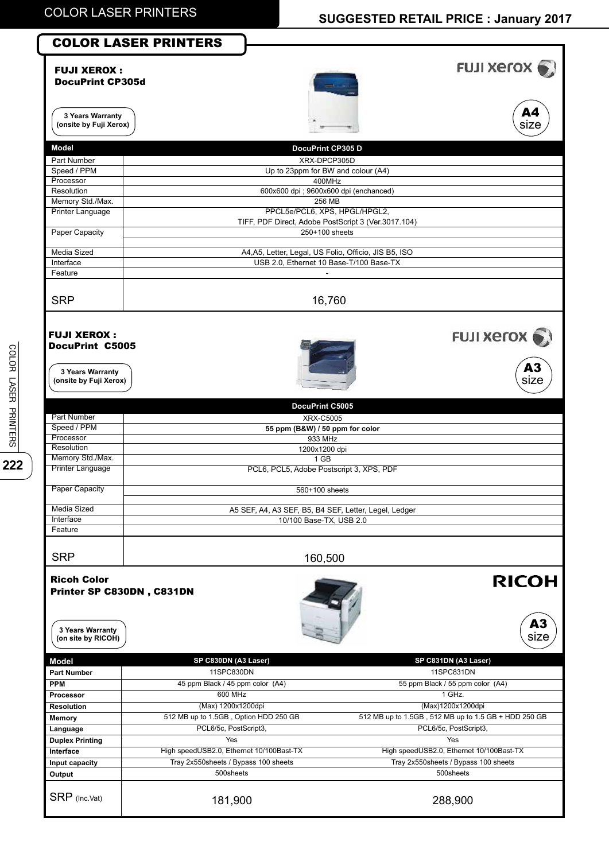## **SUGGESTED RETAIL PRICE : January 2017**

|                                                              | <b>COLOR LASER PRINTERS</b>              |                                                                                      |                                                      |
|--------------------------------------------------------------|------------------------------------------|--------------------------------------------------------------------------------------|------------------------------------------------------|
| <b>FUJI XEROX:</b><br><b>DocuPrint CP305d</b>                |                                          |                                                                                      | <b>FUJI XETOX</b>                                    |
| 3 Years Warranty<br>(onsite by Fuji Xerox)                   |                                          |                                                                                      | A4<br>size                                           |
| Model                                                        |                                          | DocuPrint CP305 D                                                                    |                                                      |
| Part Number                                                  |                                          | XRX-DPCP305D                                                                         |                                                      |
| Speed / PPM<br>Processor                                     |                                          | Up to 23ppm for BW and colour (A4)<br>400MHz                                         |                                                      |
| Resolution                                                   |                                          | 600x600 dpi ; 9600x600 dpi (enchanced)                                               |                                                      |
| Memory Std./Max.                                             |                                          | 256 MB                                                                               |                                                      |
| <b>Printer Language</b>                                      |                                          | PPCL5e/PCL6, XPS, HPGL/HPGL2,<br>TIFF, PDF Direct, Adobe PostScript 3 (Ver.3017.104) |                                                      |
| Paper Capacity                                               |                                          | 250+100 sheets                                                                       |                                                      |
| Media Sized                                                  |                                          | A4, A5, Letter, Legal, US Folio, Officio, JIS B5, ISO                                |                                                      |
| Interface                                                    |                                          | USB 2.0, Ethernet 10 Base-T/100 Base-TX                                              |                                                      |
| Feature                                                      |                                          |                                                                                      |                                                      |
| <b>SRP</b>                                                   |                                          | 16,760                                                                               |                                                      |
| <b>FUJI XEROX:</b><br><b>DocuPrint C5005</b>                 |                                          |                                                                                      | FUJI Xerox .                                         |
| 3 Years Warranty<br>(onsite by Fuji Xerox)                   |                                          |                                                                                      | A3<br>size                                           |
|                                                              |                                          | DocuPrint C5005                                                                      |                                                      |
| Part Number                                                  |                                          | <b>XRX-C5005</b>                                                                     |                                                      |
| Speed / PPM<br>Processor                                     |                                          | 55 ppm (B&W) / 50 ppm for color<br>933 MHz                                           |                                                      |
| Resolution                                                   |                                          | 1200x1200 dpi                                                                        |                                                      |
| Memory Std./Max.                                             |                                          | 1 GB                                                                                 |                                                      |
| <b>Printer Language</b>                                      |                                          | PCL6, PCL5, Adobe Postscript 3, XPS, PDF                                             |                                                      |
| <b>Paper Capacity</b>                                        |                                          | 560+100 sheets                                                                       |                                                      |
| Media Sized                                                  |                                          | A5 SEF, A4, A3 SEF, B5, B4 SEF, Letter, Legel, Ledger                                |                                                      |
| Interface                                                    |                                          | 10/100 Base-TX, USB 2.0                                                              |                                                      |
| Feature                                                      |                                          |                                                                                      |                                                      |
| <b>SRP</b>                                                   |                                          | 160,500                                                                              |                                                      |
| <b>Ricoh Color</b><br>3 Years Warranty<br>(on site by RICOH) | Printer SP C830DN, C831DN                |                                                                                      | <b>RICOH</b><br>A3<br>size                           |
| <b>Model</b>                                                 | SP C830DN (A3 Laser)                     |                                                                                      | SP C831DN (A3 Laser)                                 |
| <b>Part Number</b>                                           | 11SPC830DN                               |                                                                                      | 11SPC831DN                                           |
| <b>PPM</b>                                                   | 45 ppm Black / 45 ppm color (A4)         |                                                                                      | 55 ppm Black / 55 ppm color (A4)                     |
| <b>Processor</b><br>Resolution                               | 600 MHz<br>(Max) 1200x1200dpi            |                                                                                      | 1 GHz.<br>(Max)1200x1200dpi                          |
| <b>Memory</b>                                                | 512 MB up to 1.5GB, Option HDD 250 GB    |                                                                                      | 512 MB up to 1.5GB, 512 MB up to 1.5 GB + HDD 250 GB |
| Language                                                     | PCL6/5c, PostScript3,                    |                                                                                      | PCL6/5c, PostScript3,                                |
| <b>Duplex Printing</b>                                       | Yes                                      |                                                                                      | Yes                                                  |
| Interface                                                    | High speedUSB2.0, Ethernet 10/100Bast-TX |                                                                                      | High speedUSB2.0, Ethernet 10/100Bast-TX             |
| Input capacity                                               | Tray 2x550sheets / Bypass 100 sheets     |                                                                                      | Tray 2x550sheets / Bypass 100 sheets                 |
| Output<br>SRP (Inc.Vat)                                      | 500sheets<br>181,900                     |                                                                                      | 500sheets<br>288,900                                 |
|                                                              |                                          |                                                                                      |                                                      |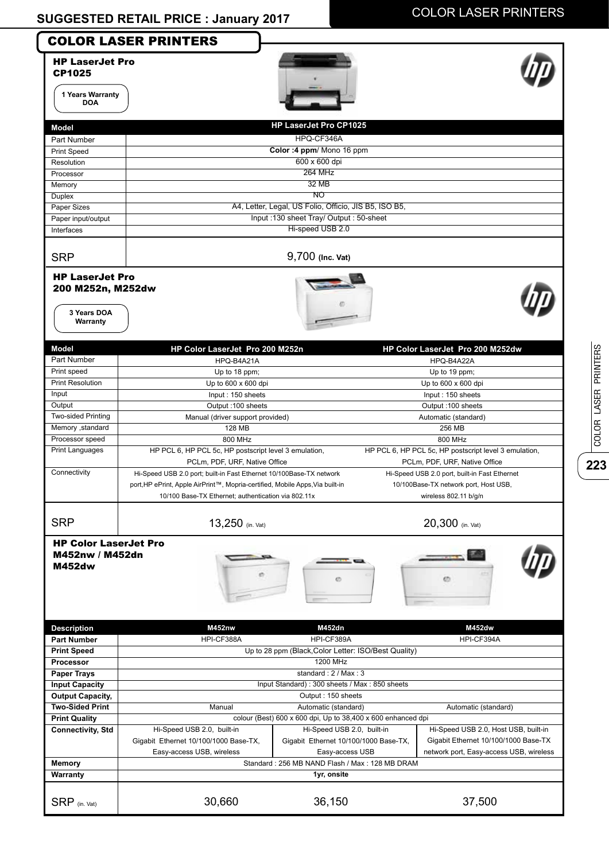|                                                                                                                                                                                                                                     | <b>COLOR LASER PRINTERS</b>                                                                                                                                                                                 |                                                                     |                                                                                                                 |
|-------------------------------------------------------------------------------------------------------------------------------------------------------------------------------------------------------------------------------------|-------------------------------------------------------------------------------------------------------------------------------------------------------------------------------------------------------------|---------------------------------------------------------------------|-----------------------------------------------------------------------------------------------------------------|
| <b>HP LaserJet Pro</b><br><b>CP1025</b><br>1 Years Warranty<br><b>DOA</b>                                                                                                                                                           |                                                                                                                                                                                                             |                                                                     |                                                                                                                 |
|                                                                                                                                                                                                                                     |                                                                                                                                                                                                             | <b>HP LaserJet Pro CP1025</b>                                       |                                                                                                                 |
| <b>Model</b>                                                                                                                                                                                                                        |                                                                                                                                                                                                             |                                                                     |                                                                                                                 |
| Part Number                                                                                                                                                                                                                         |                                                                                                                                                                                                             | HPQ-CF346A                                                          |                                                                                                                 |
| <b>Print Speed</b>                                                                                                                                                                                                                  |                                                                                                                                                                                                             | Color: 4 ppm/ Mono 16 ppm<br>600 x 600 dpi                          |                                                                                                                 |
| Resolution                                                                                                                                                                                                                          |                                                                                                                                                                                                             | <b>264 MHz</b>                                                      |                                                                                                                 |
| Processor<br>Memory                                                                                                                                                                                                                 |                                                                                                                                                                                                             | 32 MB                                                               |                                                                                                                 |
| Duplex                                                                                                                                                                                                                              |                                                                                                                                                                                                             | NO                                                                  |                                                                                                                 |
| Paper Sizes                                                                                                                                                                                                                         |                                                                                                                                                                                                             | A4, Letter, Legal, US Folio, Officio, JIS B5, ISO B5,               |                                                                                                                 |
| Paper input/output                                                                                                                                                                                                                  |                                                                                                                                                                                                             | Input: 130 sheet Tray/ Output: 50-sheet                             |                                                                                                                 |
| Interfaces                                                                                                                                                                                                                          |                                                                                                                                                                                                             | Hi-speed USB 2.0                                                    |                                                                                                                 |
| <b>SRP</b>                                                                                                                                                                                                                          |                                                                                                                                                                                                             | 9,700 (Inc. Vat)                                                    |                                                                                                                 |
| 200 M252n, M252dw<br>3 Years DOA<br>Warranty                                                                                                                                                                                        |                                                                                                                                                                                                             |                                                                     |                                                                                                                 |
| Model                                                                                                                                                                                                                               | HP Color LaserJet Pro 200 M252n                                                                                                                                                                             |                                                                     | HP Color LaserJet Pro 200 M252dw                                                                                |
| Part Number                                                                                                                                                                                                                         | HPQ-B4A21A                                                                                                                                                                                                  |                                                                     | HPQ-B4A22A                                                                                                      |
| Print speed                                                                                                                                                                                                                         | Up to 18 ppm;                                                                                                                                                                                               |                                                                     | Up to 19 ppm;                                                                                                   |
| <b>Print Resolution</b>                                                                                                                                                                                                             | Up to 600 x 600 dpi                                                                                                                                                                                         |                                                                     | Up to 600 x 600 dpi                                                                                             |
| Input                                                                                                                                                                                                                               | Input: 150 sheets                                                                                                                                                                                           |                                                                     | Input: 150 sheets                                                                                               |
| Output                                                                                                                                                                                                                              | Output: 100 sheets                                                                                                                                                                                          |                                                                     | Output: 100 sheets                                                                                              |
| Two-sided Printing                                                                                                                                                                                                                  | Manual (driver support provided)                                                                                                                                                                            |                                                                     | Automatic (standard)                                                                                            |
| Memory , standard                                                                                                                                                                                                                   | 128 MB                                                                                                                                                                                                      |                                                                     | 256 MB                                                                                                          |
| Processor speed                                                                                                                                                                                                                     | 800 MHz                                                                                                                                                                                                     |                                                                     | 800 MHz                                                                                                         |
| <b>Print Languages</b>                                                                                                                                                                                                              | HP PCL 6, HP PCL 5c, HP postscript level 3 emulation,<br>PCLm, PDF, URF, Native Office                                                                                                                      |                                                                     | HP PCL 6, HP PCL 5c, HP postscript level 3 emulation,<br>PCLm, PDF, URF, Native Office                          |
| Connectivity                                                                                                                                                                                                                        | Hi-Speed USB 2.0 port; built-in Fast Ethernet 10/100Base-TX network<br>port, HP ePrint, Apple AirPrint™, Mopria-certified, Mobile Apps, Via built-in<br>10/100 Base-TX Ethernet; authentication via 802.11x |                                                                     | Hi-Speed USB 2.0 port, built-in Fast Ethernet<br>10/100Base-TX network port, Host USB,<br>wireless 802.11 b/g/n |
| <b>SRP</b>                                                                                                                                                                                                                          | $13,250$ (in. Vat)                                                                                                                                                                                          |                                                                     | 20,300 (in. Vat)                                                                                                |
| <b>HP Color LaserJet Pro</b><br>M452nw / M452dn<br><b>M452dw</b>                                                                                                                                                                    |                                                                                                                                                                                                             |                                                                     | es                                                                                                              |
|                                                                                                                                                                                                                                     |                                                                                                                                                                                                             |                                                                     |                                                                                                                 |
|                                                                                                                                                                                                                                     | <b>M452nw</b>                                                                                                                                                                                               | M452dn                                                              | M452dw                                                                                                          |
|                                                                                                                                                                                                                                     | HPI-CF388A                                                                                                                                                                                                  | HPI-CF389A                                                          | HPI-CF394A                                                                                                      |
|                                                                                                                                                                                                                                     |                                                                                                                                                                                                             | Up to 28 ppm (Black, Color Letter: ISO/Best Quality)                |                                                                                                                 |
|                                                                                                                                                                                                                                     |                                                                                                                                                                                                             | 1200 MHz                                                            |                                                                                                                 |
|                                                                                                                                                                                                                                     |                                                                                                                                                                                                             | standard: 2 / Max: 3                                                |                                                                                                                 |
|                                                                                                                                                                                                                                     |                                                                                                                                                                                                             | Input Standard): 300 sheets / Max: 850 sheets<br>Output: 150 sheets |                                                                                                                 |
|                                                                                                                                                                                                                                     | Manual                                                                                                                                                                                                      | Automatic (standard)                                                | Automatic (standard)                                                                                            |
|                                                                                                                                                                                                                                     |                                                                                                                                                                                                             | colour (Best) 600 x 600 dpi, Up to 38,400 x 600 enhanced dpi        |                                                                                                                 |
| <b>Description</b><br><b>Part Number</b><br><b>Print Speed</b><br>Processor<br><b>Paper Trays</b><br><b>Input Capacity</b><br><b>Output Capacity,</b><br><b>Two-Sided Print</b><br><b>Print Quality</b><br><b>Connectivity, Std</b> | Hi-Speed USB 2.0, built-in                                                                                                                                                                                  | Hi-Speed USB 2.0, built-in                                          | Hi-Speed USB 2.0, Host USB, built-in                                                                            |
|                                                                                                                                                                                                                                     | Gigabit Ethernet 10/100/1000 Base-TX,<br>Easy-access USB, wireless                                                                                                                                          | Gigabit Ethernet 10/100/1000 Base-TX,                               |                                                                                                                 |
| <b>Memory</b>                                                                                                                                                                                                                       |                                                                                                                                                                                                             | Easy-access USB<br>Standard: 256 MB NAND Flash / Max: 128 MB DRAM   | Gigabit Ethernet 10/100/1000 Base-TX<br>network port, Easy-access USB, wireless                                 |
| Warranty                                                                                                                                                                                                                            |                                                                                                                                                                                                             | 1yr, onsite                                                         |                                                                                                                 |

**223**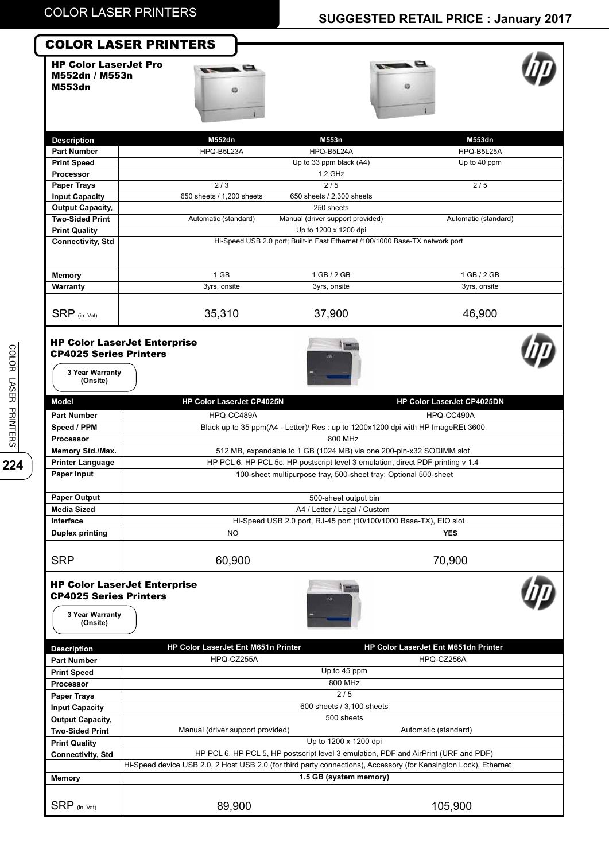## **SUGGESTED RETAIL PRICE : January 2017**

### COLOR LASER PRINTERS

HP Color LaserJet Pro M552dn / M553n M553dn





| <b>Description</b>       | M552dn                    | M553n                                                                        | M553dn               |
|--------------------------|---------------------------|------------------------------------------------------------------------------|----------------------|
| <b>Part Number</b>       | HPQ-B5L23A                | HPQ-B5L24A                                                                   | HPQ-B5L25A           |
| <b>Print Speed</b>       |                           | Up to 33 ppm black (A4)                                                      | Up to 40 ppm         |
| Processor                |                           | 1.2 GHz                                                                      |                      |
| <b>Paper Trays</b>       | 2/3                       | 2/5                                                                          | 2/5                  |
| <b>Input Capacity</b>    | 650 sheets / 1,200 sheets | 650 sheets / 2,300 sheets                                                    |                      |
| <b>Output Capacity,</b>  |                           | 250 sheets                                                                   |                      |
| <b>Two-Sided Print</b>   | Automatic (standard)      | Manual (driver support provided)                                             | Automatic (standard) |
| <b>Print Quality</b>     |                           | Up to 1200 x 1200 dpi                                                        |                      |
| <b>Connectivity, Std</b> |                           | Hi-Speed USB 2.0 port; Built-in Fast Ethernet /100/1000 Base-TX network port |                      |
|                          |                           |                                                                              |                      |
| Memory                   | $1$ GB                    | 1 GB / 2 GB                                                                  | 1 GB / 2 GB          |
| Warranty                 | 3yrs, onsite              | 3yrs, onsite                                                                 | 3yrs, onsite         |
|                          |                           |                                                                              |                      |
| $SRP$ (in. Vat)          | 35,310                    | 37,900                                                                       | 46,900               |

### HP Color LaserJet Enterprise CP4025 Series Printers





**3 Year Warranty (Onsite)**

| Model                                                        | HP Color LaserJet CP4025N                                                                                        | HP Color LaserJet CP4025DN                                                          |
|--------------------------------------------------------------|------------------------------------------------------------------------------------------------------------------|-------------------------------------------------------------------------------------|
| <b>Part Number</b>                                           | HPQ-CC489A                                                                                                       | HPQ-CC490A                                                                          |
| Speed / PPM                                                  | Black up to 35 ppm(A4 - Letter)/ Res : up to 1200x1200 dpi with HP ImageREt 3600                                 |                                                                                     |
| Processor                                                    |                                                                                                                  | 800 MHz                                                                             |
| Memory Std./Max.                                             |                                                                                                                  | 512 MB, expandable to 1 GB (1024 MB) via one 200-pin-x32 SODIMM slot                |
| <b>Printer Language</b>                                      |                                                                                                                  | HP PCL 6, HP PCL 5c, HP postscript level 3 emulation, direct PDF printing v 1.4     |
| Paper Input                                                  |                                                                                                                  | 100-sheet multipurpose tray, 500-sheet tray; Optional 500-sheet                     |
| <b>Paper Output</b>                                          |                                                                                                                  | 500-sheet output bin                                                                |
| <b>Media Sized</b>                                           |                                                                                                                  | A4 / Letter / Legal / Custom                                                        |
| Interface                                                    |                                                                                                                  | Hi-Speed USB 2.0 port, RJ-45 port (10/100/1000 Base-TX), EIO slot                   |
| <b>Duplex printing</b>                                       | <b>NO</b>                                                                                                        | <b>YES</b>                                                                          |
| <b>SRP</b>                                                   | 60,900                                                                                                           | 70,900                                                                              |
| <b>CP4025 Series Printers</b><br>3 Year Warranty<br>(Onsite) | <b>HP Color LaserJet Enterprise</b>                                                                              |                                                                                     |
| <b>Description</b>                                           | HP Color LaserJet Ent M651n Printer                                                                              | HP Color LaserJet Ent M651dn Printer                                                |
| <b>Part Number</b>                                           | HPQ-CZ255A                                                                                                       | HPQ-CZ256A                                                                          |
| <b>Print Speed</b>                                           |                                                                                                                  | Up to 45 ppm                                                                        |
| Processor                                                    |                                                                                                                  | 800 MHz                                                                             |
| <b>Paper Trays</b>                                           |                                                                                                                  | 2/5                                                                                 |
| <b>Input Capacity</b>                                        |                                                                                                                  | 600 sheets / 3,100 sheets                                                           |
| <b>Output Capacity,</b>                                      |                                                                                                                  | 500 sheets                                                                          |
| <b>Two-Sided Print</b>                                       | Manual (driver support provided)                                                                                 | Automatic (standard)                                                                |
| <b>Print Quality</b>                                         |                                                                                                                  | Up to 1200 x 1200 dpi                                                               |
| <b>Connectivity, Std</b>                                     |                                                                                                                  | HP PCL 6, HP PCL 5, HP postscript level 3 emulation, PDF and AirPrint (URF and PDF) |
|                                                              | Hi-Speed device USB 2.0, 2 Host USB 2.0 (for third party connections), Accessory (for Kensington Lock), Ethernet |                                                                                     |
| Memory                                                       |                                                                                                                  | 1.5 GB (system memory)                                                              |
| $SRP$ (in. Vat)                                              | 89,900                                                                                                           | 105,900                                                                             |